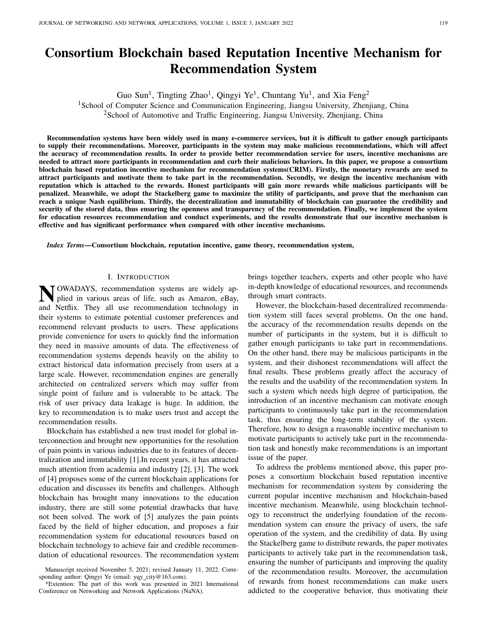# Consortium Blockchain based Reputation Incentive Mechanism for Recommendation System

Guo Sun<sup>1</sup>, Tingting Zhao<sup>1</sup>, Qingyi Ye<sup>1</sup>, Chuntang Yu<sup>1</sup>, and Xia Feng<sup>2</sup>

<sup>1</sup>School of Computer Science and Communication Engineering, Jiangsu University, Zhenjiang, China

<sup>2</sup>School of Automotive and Traffic Engineering, Jiangsu University, Zhenjiang, China

Recommendation systems have been widely used in many e-commerce services, but it is difficult to gather enough participants to supply their recommendations. Moreover, participants in the system may make malicious recommendations, which will affect the accuracy of recommendation results. In order to provide better recommendation service for users, incentive mechanisms are needed to attract more participants in recommendation and curb their malicious behaviors. In this paper, we propose a consortium blockchain based reputation incentive mechanism for recommendation systems(CRIM). Firstly, the monetary rewards are used to attract participants and motivate them to take part in the recommendation. Secondly, we design the incentive mechanism with reputation which is attached to the rewards. Honest participants will gain more rewards while malicious participants will be penalized. Meanwhile, we adopt the Stackelberg game to maximize the utility of participants, and prove that the mechanism can reach a unique Nash equilibrium. Thirdly, the decentralization and immutability of blockchain can guarantee the credibility and security of the stored data, thus ensuring the openness and transparency of the recommendation. Finally, we implement the system for education resources recommendation and conduct experiments, and the results demonstrate that our incentive mechanism is effective and has significant performance when compared with other incentive mechanisms.

*Index Terms*—Consortium blockchain, reputation incentive, game theory, recommendation system,

#### I. INTRODUCTION

N OWADAYS, recommendation systems are widely applied in various areas of life, such as Amazon, eBay, plied in various areas of life, such as Amazon, eBay, and Netflix. They all use recommendation technology in their systems to estimate potential customer preferences and recommend relevant products to users. These applications provide convenience for users to quickly find the information they need in massive amounts of data. The effectiveness of recommendation systems depends heavily on the ability to extract historical data information precisely from users at a large scale. However, recommendation engines are generally architected on centralized servers which may suffer from single point of failure and is vulnerable to be attack. The risk of user privacy data leakage is huge. In addition, the key to recommendation is to make users trust and accept the recommendation results.

Blockchain has established a new trust model for global interconnection and brought new opportunities for the resolution of pain points in various industries due to its features of decentralization and immutability [1].In recent years, it has attracted much attention from academia and industry [2], [3]. The work of [4] proposes some of the current blockchain applications for education and discusses its benefits and challenges. Although blockchain has brought many innovations to the education industry, there are still some potential drawbacks that have not been solved. The work of [5] analyzes the pain points faced by the field of higher education, and proposes a fair recommendation system for educational resources based on blockchain technology to achieve fair and credible recommendation of educational resources. The recommendation system

brings together teachers, experts and other people who have in-depth knowledge of educational resources, and recommends through smart contracts.

However, the blockchain-based decentralized recommendation system still faces several problems. On the one hand, the accuracy of the recommendation results depends on the number of participants in the system, but it is difficult to gather enough participants to take part in recommendations. On the other hand, there may be malicious participants in the system, and their dishonest recommendations will affect the final results. These problems greatly affect the accuracy of the results and the usability of the recommendation system. In such a system which needs high degree of participation, the introduction of an incentive mechanism can motivate enough participants to continuously take part in the recommendation task, thus ensuring the long-term stability of the system. Therefore, how to design a reasonable incentive mechanism to motivate participants to actively take part in the recommendation task and honestly make recommendations is an important issue of the paper.

To address the problems mentioned above, this paper proposes a consortium blockchain based reputation incentive mechanism for recommendation system by considering the current popular incentive mechanism and blockchain-based incentive mechanism. Meanwhile, using blockchain technology to reconstruct the underlying foundation of the recommendation system can ensure the privacy of users, the safe operation of the system, and the credibility of data. By using the Stackelberg game to distribute rewards, the paper motivates participants to actively take part in the recommendation task, ensuring the number of participants and improving the quality of the recommendation results. Moreover, the accumulation of rewards from honest recommendations can make users addicted to the cooperative behavior, thus motivating their

Manuscript received November 5, 2021; revised January 11, 2022. Corresponding author: Qingyi Ye (email: yqy\_city@163.com).

<sup>\*</sup>Extention: The part of this work was presented in 2021 International Conference on Networking and Network Applications (NaNA).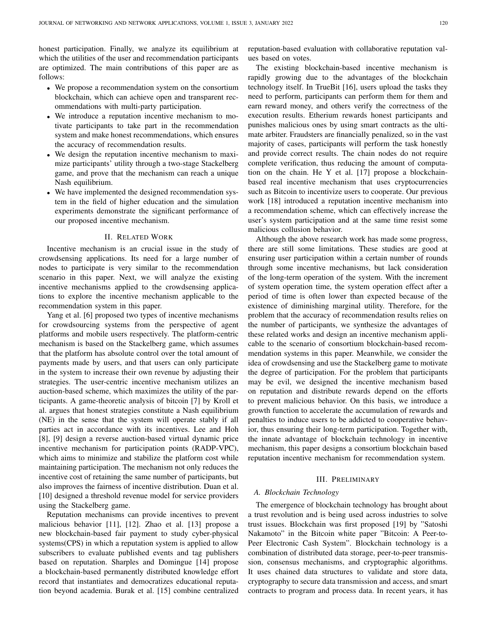honest participation. Finally, we analyze its equilibrium at which the utilities of the user and recommendation participants are optimized. The main contributions of this paper are as follows:

- We propose a recommendation system on the consortium blockchain, which can achieve open and transparent recommendations with multi-party participation.
- We introduce a reputation incentive mechanism to motivate participants to take part in the recommendation system and make honest recommendations, which ensures the accuracy of recommendation results.
- We design the reputation incentive mechanism to maximize participants' utility through a two-stage Stackelberg game, and prove that the mechanism can reach a unique Nash equilibrium.
- We have implemented the designed recommendation system in the field of higher education and the simulation experiments demonstrate the significant performance of our proposed incentive mechanism.

## II. RELATED WORK

Incentive mechanism is an crucial issue in the study of crowdsensing applications. Its need for a large number of nodes to participate is very similar to the recommendation scenario in this paper. Next, we will analyze the existing incentive mechanisms applied to the crowdsensing applications to explore the incentive mechanism applicable to the recommendation system in this paper.

Yang et al. [6] proposed two types of incentive mechanisms for crowdsourcing systems from the perspective of agent platforms and mobile users respectively. The platform-centric mechanism is based on the Stackelberg game, which assumes that the platform has absolute control over the total amount of payments made by users, and that users can only participate in the system to increase their own revenue by adjusting their strategies. The user-centric incentive mechanism utilizes an auction-based scheme, which maximizes the utility of the participants. A game-theoretic analysis of bitcoin [7] by Kroll et al. argues that honest strategies constitute a Nash equilibrium (NE) in the sense that the system will operate stably if all parties act in accordance with its incentives. Lee and Hoh [8], [9] design a reverse auction-based virtual dynamic price incentive mechanism for participation points (RADP-VPC), which aims to minimize and stabilize the platform cost while maintaining participation. The mechanism not only reduces the incentive cost of retaining the same number of participants, but also improves the fairness of incentive distribution. Duan et al. [10] designed a threshold revenue model for service providers using the Stackelberg game.

Reputation mechanisms can provide incentives to prevent malicious behavior [11], [12]. Zhao et al. [13] propose a new blockchain-based fair payment to study cyber-physical systems(CPS) in which a reputation system is applied to allow subscribers to evaluate published events and tag publishers based on reputation. Sharples and Domingue [14] propose a blockchain-based permanently distributed knowledge effort record that instantiates and democratizes educational reputation beyond academia. Burak et al. [15] combine centralized

reputation-based evaluation with collaborative reputation values based on votes.

The existing blockchain-based incentive mechanism is rapidly growing due to the advantages of the blockchain technology itself. In TrueBit [16], users upload the tasks they need to perform, participants can perform them for them and earn reward money, and others verify the correctness of the execution results. Etherium rewards honest participants and punishes malicious ones by using smart contracts as the ultimate arbiter. Fraudsters are financially penalized, so in the vast majority of cases, participants will perform the task honestly and provide correct results. The chain nodes do not require complete verification, thus reducing the amount of computation on the chain. He Y et al. [17] propose a blockchainbased real incentive mechanism that uses cryptocurrencies such as Bitcoin to incentivize users to cooperate. Our previous work [18] introduced a reputation incentive mechanism into a recommendation scheme, which can effectively increase the user's system participation and at the same time resist some malicious collusion behavior.

Although the above research work has made some progress, there are still some limitations. These studies are good at ensuring user participation within a certain number of rounds through some incentive mechanisms, but lack consideration of the long-term operation of the system. With the increment of system operation time, the system operation effect after a period of time is often lower than expected because of the existence of diminishing marginal utility. Therefore, for the problem that the accuracy of recommendation results relies on the number of participants, we synthesize the advantages of these related works and design an incentive mechanism applicable to the scenario of consortium blockchain-based recommendation systems in this paper. Meanwhile, we consider the idea of crowdsensing and use the Stackelberg game to motivate the degree of participation. For the problem that participants may be evil, we designed the incentive mechanism based on reputation and distribute rewards depend on the efforts to prevent malicious behavior. On this basis, we introduce a growth function to accelerate the accumulation of rewards and penalties to induce users to be addicted to cooperative behavior, thus ensuring their long-term participation. Together with, the innate advantage of blockchain technology in incentive mechanism, this paper designs a consortium blockchain based reputation incentive mechanism for recommendation system.

## III. PRELIMINARY

#### *A. Blockchain Technology*

The emergence of blockchain technology has brought about a trust revolution and is being used across industries to solve trust issues. Blockchain was first proposed [19] by "Satoshi Nakamoto" in the Bitcoin white paper "Bitcoin: A Peer-to-Peer Electronic Cash System". Blockchain technology is a combination of distributed data storage, peer-to-peer transmission, consensus mechanisms, and cryptographic algorithms. It uses chained data structures to validate and store data, cryptography to secure data transmission and access, and smart contracts to program and process data. In recent years, it has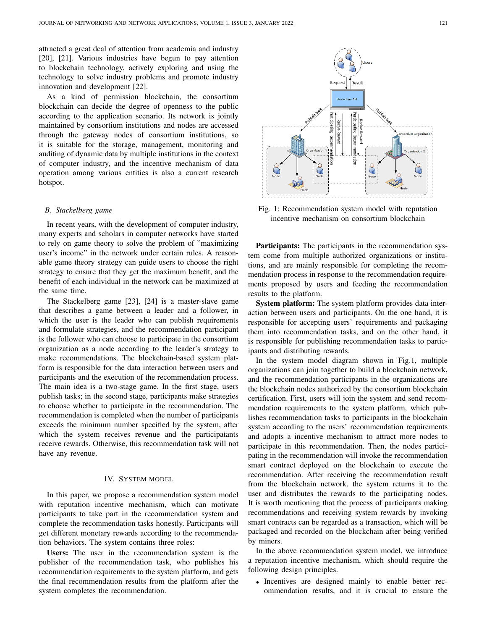attracted a great deal of attention from academia and industry [20], [21]. Various industries have begun to pay attention to blockchain technology, actively exploring and using the technology to solve industry problems and promote industry innovation and development [22].

As a kind of permission blockchain, the consortium blockchain can decide the degree of openness to the public according to the application scenario. Its network is jointly maintained by consortium institutions and nodes are accessed through the gateway nodes of consortium institutions, so it is suitable for the storage, management, monitoring and auditing of dynamic data by multiple institutions in the context of computer industry, and the incentive mechanism of data operation among various entities is also a current research hotspot.

#### *B. Stackelberg game*

In recent years, with the development of computer industry, many experts and scholars in computer networks have started to rely on game theory to solve the problem of "maximizing user's income" in the network under certain rules. A reasonable game theory strategy can guide users to choose the right strategy to ensure that they get the maximum benefit, and the benefit of each individual in the network can be maximized at the same time.

The Stackelberg game [23], [24] is a master-slave game that describes a game between a leader and a follower, in which the user is the leader who can publish requirements and formulate strategies, and the recommendation participant is the follower who can choose to participate in the consortium organization as a node according to the leader's strategy to make recommendations. The blockchain-based system platform is responsible for the data interaction between users and participants and the execution of the recommendation process. The main idea is a two-stage game. In the first stage, users publish tasks; in the second stage, participants make strategies to choose whether to participate in the recommendation. The recommendation is completed when the number of participants exceeds the minimum number specified by the system, after which the system receives revenue and the participatants receive rewards. Otherwise, this recommendation task will not have any revenue.

## IV. SYSTEM MODEL

In this paper, we propose a recommendation system model with reputation incentive mechanism, which can motivate participants to take part in the recommendation system and complete the recommendation tasks honestly. Participants will get different monetary rewards according to the recommendation behaviors. The system contains three roles:

Users: The user in the recommendation system is the publisher of the recommendation task, who publishes his recommendation requirements to the system platform, and gets the final recommendation results from the platform after the system completes the recommendation.



Fig. 1: Recommendation system model with reputation incentive mechanism on consortium blockchain

Participants: The participants in the recommendation system come from multiple authorized organizations or institutions, and are mainly responsible for completing the recommendation process in response to the recommendation requirements proposed by users and feeding the recommendation results to the platform.

System platform: The system platform provides data interaction between users and participants. On the one hand, it is responsible for accepting users' requirements and packaging them into recommendation tasks, and on the other hand, it is responsible for publishing recommendation tasks to participants and distributing rewards.

In the system model diagram shown in Fig.1, multiple organizations can join together to build a blockchain network, and the recommendation participants in the organizations are the blockchain nodes authorized by the consortium blockchain certification. First, users will join the system and send recommendation requirements to the system platform, which publishes recommendation tasks to participants in the blockchain system according to the users' recommendation requirements and adopts a incentive mechanism to attract more nodes to participate in this recommendation. Then, the nodes participating in the recommendation will invoke the recommendation smart contract deployed on the blockchain to execute the recommendation. After receiving the recommendation result from the blockchain network, the system returns it to the user and distributes the rewards to the participating nodes. It is worth mentioning that the process of participants making recommendations and receiving system rewards by invoking smart contracts can be regarded as a transaction, which will be packaged and recorded on the blockchain after being verified by miners.

In the above recommendation system model, we introduce a reputation incentive mechanism, which should require the following design principles.

• Incentives are designed mainly to enable better recommendation results, and it is crucial to ensure the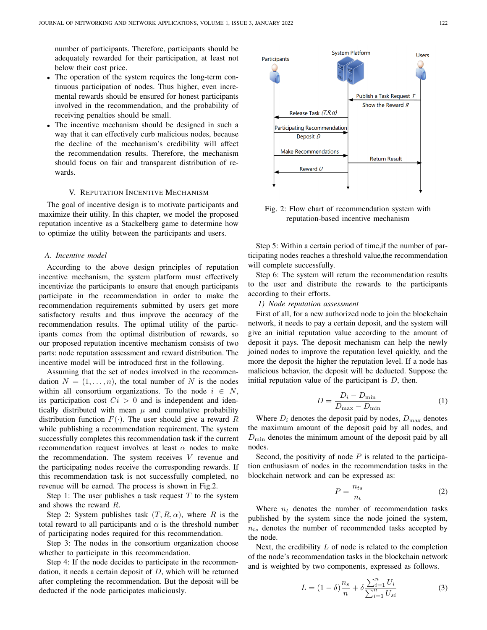number of participants. Therefore, participants should be adequately rewarded for their participation, at least not below their cost price.

- The operation of the system requires the long-term continuous participation of nodes. Thus higher, even incremental rewards should be ensured for honest participants involved in the recommendation, and the probability of receiving penalties should be small.
- The incentive mechanism should be designed in such a way that it can effectively curb malicious nodes, because the decline of the mechanism's credibility will affect the recommendation results. Therefore, the mechanism should focus on fair and transparent distribution of rewards.

## V. REPUTATION INCENTIVE MECHANISM

The goal of incentive design is to motivate participants and maximize their utility. In this chapter, we model the proposed reputation incentive as a Stackelberg game to determine how to optimize the utility between the participants and users.

#### *A. Incentive model*

According to the above design principles of reputation incentive mechanism, the system platform must effectively incentivize the participants to ensure that enough participants participate in the recommendation in order to make the recommendation requirements submitted by users get more satisfactory results and thus improve the accuracy of the recommendation results. The optimal utility of the participants comes from the optimal distribution of rewards, so our proposed reputation incentive mechanism consists of two parts: node reputation assessment and reward distribution. The incentive model will be introduced first in the following.

Assuming that the set of nodes involved in the recommendation  $N = (1, \ldots, n)$ , the total number of N is the nodes within all consortium organizations. To the node  $i \in N$ , its participation cost  $Ci > 0$  and is independent and identically distributed with mean  $\mu$  and cumulative probability distribution function  $F(\cdot)$ . The user should give a reward R while publishing a recommendation requirement. The system successfully completes this recommendation task if the current recommendation request involves at least  $\alpha$  nodes to make the recommendation. The system receives  $V$  revenue and the participating nodes receive the corresponding rewards. If this recommendation task is not successfully completed, no revenue will be earned. The process is shown in Fig.2.

Step 1: The user publishes a task request  $T$  to the system and shows the reward R.

Step 2: System publishes task  $(T, R, \alpha)$ , where R is the total reward to all participants and  $\alpha$  is the threshold number of participating nodes required for this recommendation.

Step 3: The nodes in the consortium organization choose whether to participate in this recommendation.

Step 4: If the node decides to participate in the recommendation, it needs a certain deposit of  $D$ , which will be returned after completing the recommendation. But the deposit will be deducted if the node participates maliciously.



Fig. 2: Flow chart of recommendation system with reputation-based incentive mechanism

Step 5: Within a certain period of time,if the number of participating nodes reaches a threshold value,the recommendation will complete successfully.

Step 6: The system will return the recommendation results to the user and distribute the rewards to the participants according to their efforts.

#### *1) Node reputation assessment*

First of all, for a new authorized node to join the blockchain network, it needs to pay a certain deposit, and the system will give an initial reputation value according to the amount of deposit it pays. The deposit mechanism can help the newly joined nodes to improve the reputation level quickly, and the more the deposit the higher the reputation level. If a node has malicious behavior, the deposit will be deducted. Suppose the initial reputation value of the participant is  $D$ , then.

$$
D = \frac{D_i - D_{\min}}{D_{\max} - D_{\min}}\tag{1}
$$

Where  $D_i$  denotes the deposit paid by nodes,  $D_{\text{max}}$  denotes the maximum amount of the deposit paid by all nodes, and  $D_{\text{min}}$  denotes the minimum amount of the deposit paid by all nodes.

Second, the positivity of node  $P$  is related to the participation enthusiasm of nodes in the recommendation tasks in the blockchain network and can be expressed as:

$$
P = \frac{n_{ts}}{n_t} \tag{2}
$$

Where  $n_t$  denotes the number of recommendation tasks published by the system since the node joined the system,  $n_{ts}$  denotes the number of recommended tasks accepted by the node.

Next, the credibility  $L$  of node is related to the completion of the node's recommendation tasks in the blockchain network and is weighted by two components, expressed as follows.

$$
L = (1 - \delta) \frac{n_s}{n} + \delta \frac{\sum_{i=1}^{n} U_i}{\sum_{i=1}^{n} U_{si}}
$$
 (3)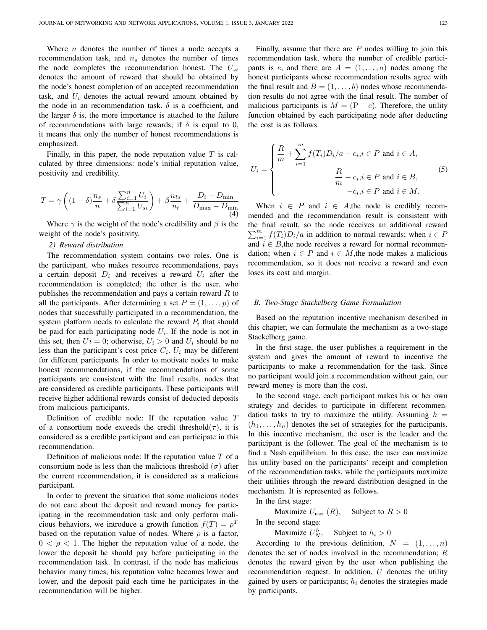Where  $n$  denotes the number of times a node accepts a recommendation task, and  $n<sub>s</sub>$  denotes the number of times the node completes the recommendation honest. The  $U_{si}$ denotes the amount of reward that should be obtained by the node's honest completion of an accepted recommendation task, and  $U_i$  denotes the actual reward amount obtained by the node in an recommendation task.  $\delta$  is a coefficient, and the larger  $\delta$  is, the more importance is attached to the failure of recommendations with large rewards; if  $\delta$  is equal to 0, it means that only the number of honest recommendations is emphasized.

Finally, in this paper, the node reputation value  $T$  is calculated by three dimensions: node's initial reputation value, positivity and credibility.

$$
T = \gamma \left( (1 - \delta) \frac{n_s}{n} + \delta \frac{\sum_{i=1}^{n} U_i}{\sum_{i=1}^{n} U_{si}} \right) + \beta \frac{n_{ts}}{n_t} + \frac{D_i - D_{\min}}{D_{\max} - D_{\min}} \tag{4}
$$

Where  $\gamma$  is the weight of the node's credibility and  $\beta$  is the weight of the node's positivity.

## *2) Reward distribution*

The recommendation system contains two roles. One is the participant, who makes resource recommendations, pays a certain deposit  $D_i$  and receives a reward  $U_i$  after the recommendation is completed; the other is the user, who publishes the recommendation and pays a certain reward  $R$  to all the participants. After determining a set  $P = (1, \ldots, p)$  of nodes that successfully participated in a recommendation, the system platform needs to calculate the reward  $P_i$  that should be paid for each participating node  $U_i$ . If the node is not in this set, then  $Ui = 0$ ; otherwise,  $U_i > 0$  and  $U_i$  should be no less than the participant's cost price  $C_i$ .  $U_i$  may be different for different participants. In order to motivate nodes to make honest recommendations, if the recommendations of some participants are consistent with the final results, nodes that are considered as credible participants. These participants will receive higher additional rewards consist of deducted deposits from malicious participants.

Definition of credible node: If the reputation value T of a consortium node exceeds the credit threshold( $\tau$ ), it is considered as a credible participant and can participate in this recommendation.

Definition of malicious node: If the reputation value  $T$  of a consortium node is less than the malicious threshold  $(\sigma)$  after the current recommendation, it is considered as a malicious participant.

In order to prevent the situation that some malicious nodes do not care about the deposit and reward money for participating in the recommendation task and only perform malicious behaviors, we introduce a growth function  $f(T) = \rho^T$ based on the reputation value of nodes. Where  $\rho$  is a factor,  $0 < \rho < 1$ . The higher the reputation value of a node, the lower the deposit he should pay before participating in the recommendation task. In contrast, if the node has malicious behavior many times, his reputation value becomes lower and lower, and the deposit paid each time he participates in the recommendation will be higher.

Finally, assume that there are  $P$  nodes willing to join this recommendation task, where the number of credible participants is e, and there are  $A = (1, \ldots, a)$  nodes among the honest participants whose recommendation results agree with the final result and  $B = (1, \ldots, b)$  nodes whose recommendation results do not agree with the final result. The number of malicious participants is  $M = (P - e)$ . Therefore, the utility function obtained by each participating node after deducting the cost is as follows.

$$
U_i = \begin{cases} \frac{R}{m} + \sum_{i=1}^{m} f(T_i) D_i / a - c_i, i \in P \text{ and } i \in A, \\ \frac{R}{m} - c_i, i \in P \text{ and } i \in B, \\ -c_i, i \in P \text{ and } i \in M. \end{cases}
$$
(5)

When  $i \in P$  and  $i \in A$ , the node is credibly recommended and the recommendation result is consistent with the final result, so the node receives an additional reward  $\sum_{i=1}^{m} f(T_i)D_i/a$  in addition to normal rewards; when  $i \in P$ and  $i \in B$ , the node receives a reward for normal recommendation; when  $i \in P$  and  $i \in M$ , the node makes a malicious recommendation, so it does not receive a reward and even loses its cost and margin.

## *B. Two-Stage Stackelberg Game Formulation*

Based on the reputation incentive mechanism described in this chapter, we can formulate the mechanism as a two-stage Stackelberg game.

In the first stage, the user publishes a requirement in the system and gives the amount of reward to incentive the participants to make a recommendation for the task. Since no participant would join a recommendation without gain, our reward money is more than the cost.

In the second stage, each participant makes his or her own strategy and decides to participate in different recommendation tasks to try to maximize the utility. Assuming  $h =$  $(h_1, \ldots, h_n)$  denotes the set of strategies for the participants. In this incentive mechanism, the user is the leader and the participant is the follower. The goal of the mechanism is to find a Nash equilibrium. In this case, the user can maximize his utility based on the participants' receipt and completion of the recommendation tasks, while the participants maximize their utilities through the reward distribution designed in the mechanism. It is represented as follows.

In the first stage:

Maximize  $U_{user}(R)$ , Subject to  $R > 0$ 

In the second stage:

Maximize  $U_N^h$ , Subject to  $h_i > 0$ 

According to the previous definition,  $N = (1, \ldots, n)$ denotes the set of nodes involved in the recommendation; R denotes the reward given by the user when publishing the recommendation request. In addition,  $U$  denotes the utility gained by users or participants;  $h_i$  denotes the strategies made by participants.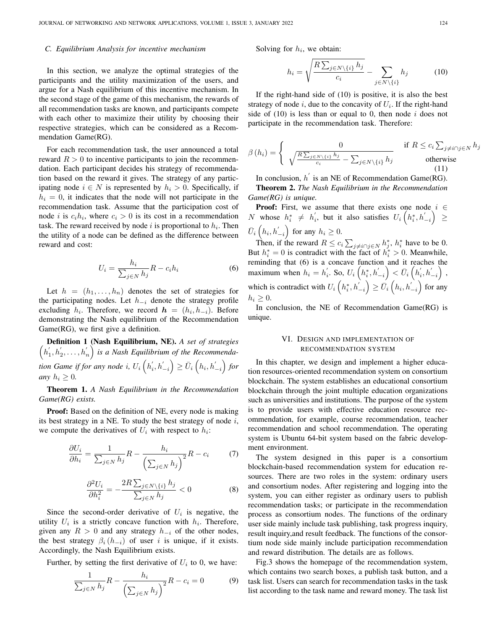#### *C. Equilibrium Analysis for incentive mechanism*

In this section, we analyze the optimal strategies of the participants and the utility maximization of the users, and argue for a Nash equilibrium of this incentive mechanism. In the second stage of the game of this mechanism, the rewards of all recommendation tasks are known, and participants compete with each other to maximize their utility by choosing their respective strategies, which can be considered as a Recommendation Game(RG).

For each recommendation task, the user announced a total reward  $R > 0$  to incentive participants to join the recommendation. Each participant decides his strategy of recommendation based on the reward it gives. The strategy of any participating node  $i \in N$  is represented by  $h_i > 0$ . Specifically, if  $h_i = 0$ , it indicates that the node will not participate in the recommendation task. Assume that the participation cost of node *i* is  $c_i h_i$ , where  $c_i > 0$  is its cost in a recommendation task. The reward received by node  $i$  is proportional to  $h_i$ . Then the utility of a node can be defined as the difference between reward and cost:

$$
U_i = \frac{h_i}{\sum_{j \in N} h_j} R - c_i h_i \tag{6}
$$

Let  $h = (h_1, \ldots, h_n)$  denotes the set of strategies for the participating nodes. Let  $h_{-i}$  denote the strategy profile excluding  $h_i$ . Therefore, we record  $\mathbf{h} = (h_i, h_{-i})$ . Before demonstrating the Nash equilibrium of the Recommendation Game(RG), we first give a definition.

 $(h'_1, h'_2, \ldots, h'_n)$  is a Nash Equilibrium of the Recommenda-Definition 1 (Nash Equilibrium, NE). *A set of strategies* tion Game if for any node i,  $U_i\left(h^{'}_i, h^{'}_{-i}\right) \geq \bar{U}_i\left(h_i, h^{'}_{-i}\right)$  for *any*  $h_i \geq 0$ *.* 

Theorem 1. *A Nash Equilibrium in the Recommendation Game(RG) exists.*

Proof: Based on the definition of NE, every node is making its best strategy in a NE. To study the best strategy of node  $i$ , we compute the derivatives of  $U_i$  with respect to  $h_i$ :

$$
\frac{\partial U_i}{\partial h_i} = \frac{1}{\sum_{j \in N} h_j} R - \frac{h_i}{\left(\sum_{j \in N} h_j\right)^2} R - c_i \tag{7}
$$

$$
\frac{\partial^2 U_i}{\partial h_i^2} = -\frac{2R \sum_{j \in N \setminus \{i\}} h_j}{\sum_{j \in N} h_j} < 0 \tag{8}
$$

Since the second-order derivative of  $U_i$  is negative, the utility  $U_i$  is a strictly concave function with  $h_i$ . Therefore, given any  $R > 0$  and any strategy  $h_{-i}$  of the other nodes, the best strategy  $\beta_i(h_{-i})$  of user i is unique, if it exists. Accordingly, the Nash Equilibrium exists.

Further, by setting the first derivative of  $U_i$  to 0, we have:

$$
\frac{1}{\sum_{j\in N} h_j} R - \frac{h_i}{\left(\sum_{j\in N} h_j\right)^2} R - c_i = 0 \tag{9}
$$

Solving for  $h_i$ , we obtain:

$$
h_i = \sqrt{\frac{R\sum_{j \in N \setminus \{i\}} h_j}{c_i}} - \sum_{j \in N \setminus \{i\}} h_j \tag{10}
$$

If the right-hand side of (10) is positive, it is also the best strategy of node  $i$ , due to the concavity of  $U_i$ . If the right-hand side of  $(10)$  is less than or equal to 0, then node i does not participate in the recommendation task. Therefore:

$$
\beta(h_i) = \begin{cases} 0 & \text{if } R \le c_i \sum_{j \neq i \cap j \in N} h_j \\ \sqrt{\frac{R \sum_{j \in N \setminus \{i\}} h_j}{c_i}} - \sum_{j \in N \setminus \{i\}} h_j & \text{otherwise} \end{cases}
$$
(11)

In conclusion,  $h'$  is an NE of Recommendation Game(RG).

Theorem 2. *The Nash Equilibrium in the Recommendation Game(RG) is unique.*

**Proof:** First, we assume that there exists one node  $i \in$ N whose  $h_i^* \neq h_i'$ , but it also satisfies  $U_i\left(h_i^*, h_{-i}^{'}\right) \geq$  $\bar{U}_i\left(h_i, h^{'}_{-i}\right)$  for any  $h_i \geq 0$ .

Then, if the reward  $R \leq c_i \sum_{j \neq i \cap j \in N} h_j^*$ ,  $h_i^*$  have to be 0. But  $h_i^* = 0$  is contradict with the fact of  $h_i^* > 0$ . Meanwhile, reminding that (6) is a concave function and it reaches the maximum when  $h_i = h'_i$ . So,  $U_i\left(h_i^*, h'_{-i}\right) < \bar{U}_i\left(h'_i, h'_{-i}\right)$ , which is contradict with  $U_i\left(h_i^*, h_{-i}^{'}\right) \ge \bar{U}_i\left(h_i, h_{-i}^{'}\right)$  for any  $h_i \geq 0$ .

In conclusion, the NE of Recommendation Game(RG) is unique.

## VI. DESIGN AND IMPLEMENTATION OF RECOMMENDATION SYSTEM

In this chapter, we design and implement a higher education resources-oriented recommendation system on consortium blockchain. The system establishes an educational consortium blockchain through the joint multiple education organizations such as universities and institutions. The purpose of the system is to provide users with effective education resource recommendation, for example, course recommendation, teacher recommendation and school recommendation. The operating system is Ubuntu 64-bit system based on the fabric development environment.

The system designed in this paper is a consortium blockchain-based recommendation system for education resources. There are two roles in the system: ordinary users and consortium nodes. After registering and logging into the system, you can either register as ordinary users to publish recommendation tasks; or participate in the recommendation process as consortium nodes. The functions of the ordinary user side mainly include task publishing, task progress inquiry, result inquiry,and result feedback. The functions of the consortium node side mainly include participation recommendation and reward distribution. The details are as follows.

Fig.3 shows the homepage of the recommendation system, which contains two search boxes, a publish task button, and a task list. Users can search for recommendation tasks in the task list according to the task name and reward money. The task list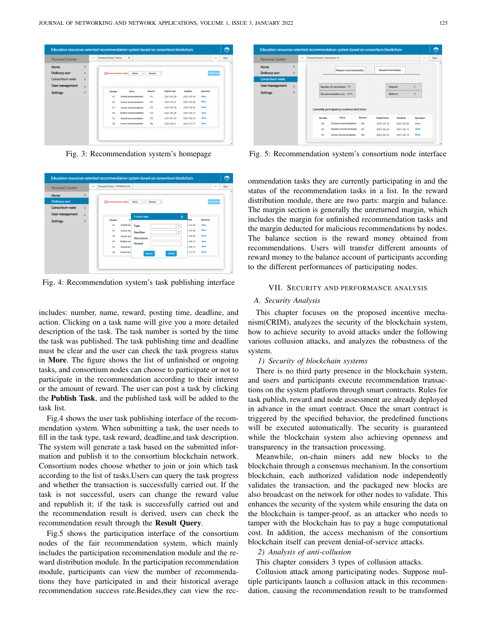

Fig. 3: Recommendation system's homepage

| <b>Personal Center</b> |         | $\epsilon$ $<$ | Personal Center Ordinary us X |                                     |                         |               | >                   | Quit |
|------------------------|---------|----------------|-------------------------------|-------------------------------------|-------------------------|---------------|---------------------|------|
| Home                   | $\,>\,$ |                |                               |                                     |                         |               |                     |      |
| <b>Ordinary user</b>   |         |                | Recommendation tasks          | Name<br>Reward<br>٠<br>$\mathbf{v}$ |                         |               | <b>Publish task</b> |      |
| Consortium node        | $\geq$  |                |                               |                                     |                         |               |                     |      |
| User management        | $\geq$  |                |                               | <b>Publish task</b>                 | $\overline{\mathsf{x}}$ |               |                     |      |
| <b>Settings</b>        | $\geq$  |                | N<br>Number                   |                                     |                         | dline         | Operation           |      |
|                        |         |                | School reco<br>01             | Type                                | $\checkmark$            | $1-02-30$     | More                |      |
|                        |         |                | 02<br>Course reco             | Deadline                            | $\checkmark$            | $1 - 05 - 20$ | More                |      |
|                        |         |                | 03<br>Course recy             | Description                         |                         | $1 - 06 - 20$ | More                |      |
|                        |         |                | 04<br>Teacher rec             | Reward                              |                         | $1-09-12$     | More                |      |
|                        |         |                | 05<br>School reco             |                                     |                         | $1-08-15$     | More                |      |
|                        |         |                | 06<br>Course reco             | Submit                              | Cancel                  | $1 - 07 - 07$ | More                |      |

Fig. 4: Recommendation system's task publishing interface

includes: number, name, reward, posting time, deadline, and action. Clicking on a task name will give you a more detailed description of the task. The task number is sorted by the time the task was published. The task publishing time and deadline must be clear and the user can check the task progress status in More. The figure shows the list of unfinished or ongoing tasks, and consortium nodes can choose to participate or not to participate in the recommendation according to their interest or the amount of reward. The user can post a task by clicking the Publish Task, and the published task will be added to the task list.

Fig.4 shows the user task publishing interface of the recommendation system. When submitting a task, the user needs to fill in the task type, task reward, deadline,and task description. The system will generate a task based on the submitted information and publish it to the consortium blockchain network. Consortium nodes choose whether to join or join which task according to the list of tasks.Users can query the task progress and whether the transaction is successfully carried out. If the task is not successful, users can change the reward value and republish it; if the task is successfully carried out and the recommendation result is derived, users can check the recommendation result through the Result Query.

Fig.5 shows the participation interface of the consortium nodes of the fair recommendation system, which mainly includes the participation recommendation module and the reward distribution module. In the participation recommendation module, participants can view the number of recommendations they have participated in and their historical average recommendation success rate.Besides,they can view the rec-

| <b>Personal Center</b> |                | $\epsilon$ $<$ | Personal Center Consortium X                |                        |                                                 |                      |                               |                            |              | >         | Quit |
|------------------------|----------------|----------------|---------------------------------------------|------------------------|-------------------------------------------------|----------------------|-------------------------------|----------------------------|--------------|-----------|------|
| Home                   | $\geq$         |                |                                             |                        | Related recommendation                          |                      |                               | <b>Reward distribution</b> |              |           |      |
| Ordinary user          | $\geq$         |                |                                             |                        |                                                 |                      |                               |                            |              |           |      |
| <b>Consortium node</b> |                |                |                                             |                        |                                                 |                      |                               |                            |              |           |      |
| <b>User management</b> | $\overline{ }$ |                |                                             | Number of recommed 79  |                                                 |                      |                               | Deposit                    | $\Omega$     |           |      |
| <b>Settings</b>        | $\geq$         |                |                                             | Recommendation suc 63% |                                                 |                      |                               | Balance                    | $\Omega$     |           |      |
|                        |                |                |                                             |                        |                                                 |                      |                               |                            |              |           |      |
|                        |                |                | Currently participating recommended tasks : | Name                   |                                                 | Reward               |                               |                            |              |           |      |
|                        |                |                | Number                                      |                        |                                                 |                      | Publish time                  | Deadline                   |              | Operation |      |
|                        |                |                | 02<br>04                                    |                        | Course recommendation<br>Teacher recommendation | R <sub>2</sub><br>R4 | $2021 - 03 - 8$<br>2021-05-25 | 2021-05-20<br>2021-09-12   | More<br>More |           |      |

Fig. 5: Recommendation system's consortium node interface

ommendation tasks they are currently participating in and the status of the recommendation tasks in a list. In the reward distribution module, there are two parts: margin and balance. The margin section is generally the unreturned margin, which includes the margin for unfinished recommendation tasks and the margin deducted for malicious recommendations by nodes. The balance section is the reward money obtained from recommendations. Users will transfer different amounts of reward money to the balance account of participants according to the different performances of participating nodes.

#### VII. SECURITY AND PERFORMANCE ANALYSIS

## *A. Security Analysis*

This chapter focuses on the proposed incentive mechanism(CRIM), analyzes the security of the blockchain system, how to achieve security to avoid attacks under the following various collusion attacks, and analyzes the robustness of the system.

#### *1) Security of blockchain systems*

There is no third party presence in the blockchain system, and users and participants execute recommendation transactions on the system platform through smart contracts. Rules for task publish, reward and node assessment are already deployed in advance in the smart contract. Once the smart contract is triggered by the specified behavior, the predefined functions will be executed automatically. The security is guaranteed while the blockchain system also achieving openness and transparency in the transaction processing.

Meanwhile, on-chain miners add new blocks to the blockchain through a consensus mechanism. In the consortium blockchain, each authorized validation node independently validates the transaction, and the packaged new blocks are also broadcast on the network for other nodes to validate. This enhances the security of the system while ensuring the data on the blockchain is tamper-proof, as an attacker who needs to tamper with the blockchain has to pay a huge computational cost. In addition, the access mechanism of the consortium blockchain itself can prevent denial-of-service attacks.

#### *2) Analysis of anti-collusion*

This chapter considers 3 types of collusion attacks.

Collusion attack among participating nodes. Suppose multiple participants launch a collusion attack in this recommendation, causing the recommendation result to be transformed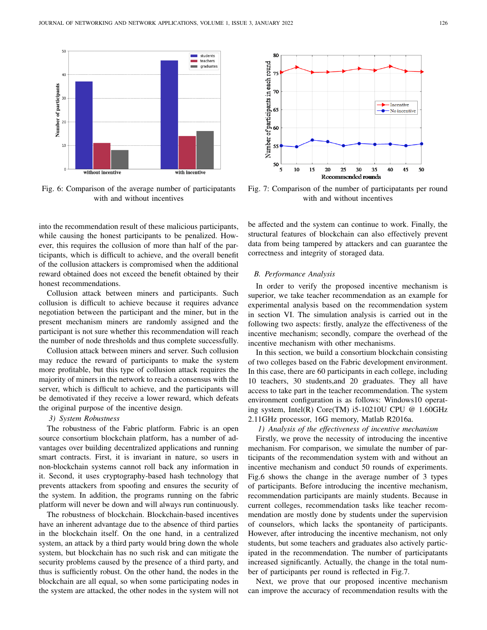

Fig. 6: Comparison of the average number of participatants with and without incentives

into the recommendation result of these malicious participants, while causing the honest participants to be penalized. However, this requires the collusion of more than half of the participants, which is difficult to achieve, and the overall benefit of the collusion attackers is compromised when the additional reward obtained does not exceed the benefit obtained by their honest recommendations.

Collusion attack between miners and participants. Such collusion is difficult to achieve because it requires advance negotiation between the participant and the miner, but in the present mechanism miners are randomly assigned and the participant is not sure whether this recommendation will reach the number of node thresholds and thus complete successfully.

Collusion attack between miners and server. Such collusion may reduce the reward of participants to make the system more profitable, but this type of collusion attack requires the majority of miners in the network to reach a consensus with the server, which is difficult to achieve, and the participants will be demotivated if they receive a lower reward, which defeats the original purpose of the incentive design.

## *3) System Robustness*

The robustness of the Fabric platform. Fabric is an open source consortium blockchain platform, has a number of advantages over building decentralized applications and running smart contracts. First, it is invariant in nature, so users in non-blockchain systems cannot roll back any information in it. Second, it uses cryptography-based hash technology that prevents attackers from spoofing and ensures the security of the system. In addition, the programs running on the fabric platform will never be down and will always run continuously.

The robustness of blockchain. Blockchain-based incentives have an inherent advantage due to the absence of third parties in the blockchain itself. On the one hand, in a centralized system, an attack by a third party would bring down the whole system, but blockchain has no such risk and can mitigate the security problems caused by the presence of a third party, and thus is sufficiently robust. On the other hand, the nodes in the blockchain are all equal, so when some participating nodes in the system are attacked, the other nodes in the system will not



Fig. 7: Comparison of the number of participatants per round with and without incentives

be affected and the system can continue to work. Finally, the structural features of blockchain can also effectively prevent data from being tampered by attackers and can guarantee the correctness and integrity of storaged data.

## *B. Performance Analysis*

In order to verify the proposed incentive mechanism is superior, we take teacher recommendation as an example for experimental analysis based on the recommendation system in section VI. The simulation analysis is carried out in the following two aspects: firstly, analyze the effectiveness of the incentive mechanism; secondly, compare the overhead of the incentive mechanism with other mechanisms.

In this section, we build a consortium blockchain consisting of two colleges based on the Fabric development environment. In this case, there are 60 participants in each college, including 10 teachers, 30 students,and 20 graduates. They all have access to take part in the teacher recommendation. The system environment configuration is as follows: Windows10 operating system, Intel(R) Core(TM) i5-10210U CPU  $@$  1.60GHz 2.11GHz processor, 16G memory, Matlab R2016a.

## *1) Analysis of the effectiveness of incentive mechanism*

Firstly, we prove the necessity of introducing the incentive mechanism. For comparison, we simulate the number of participants of the recommendation system with and without an incentive mechanism and conduct 50 rounds of experiments. Fig.6 shows the change in the average number of 3 types of participants. Before introducing the incentive mechanism, recommendation participants are mainly students. Because in current colleges, recommendation tasks like teacher recommendation are mostly done by students under the supervision of counselors, which lacks the spontaneity of participants. However, after introducing the incentive mechanism, not only students, but some teachers and graduates also actively participated in the recommendation. The number of participatants increased significantly. Actually, the change in the total number of participants per round is reflected in Fig.7.

Next, we prove that our proposed incentive mechanism can improve the accuracy of recommendation results with the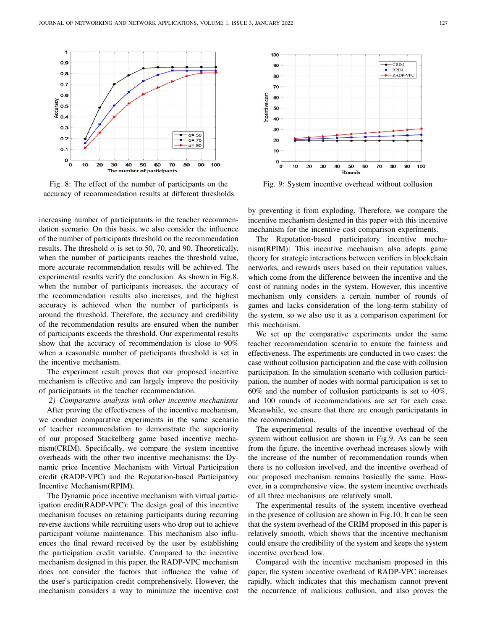

Fig. 8: The effect of the number of participants on the accuracy of recommendation results at different thresholds

increasing number of participatants in the teacher recommendation scenario. On this basis, we also consider the influence of the number of participants threshold on the recommendation results. The threshold  $\alpha$  is set to 50, 70, and 90. Theoretically, when the number of participants reaches the threshold value, more accurate recommendation results will be achieved. The experimental results verify the conclusion. As shown in Fig.8, when the number of participants increases, the accuracy of the recommendation results also increases, and the highest accuracy is achieved when the number of participants is around the threshold. Therefore, the accuracy and credibility of the recommendation results are ensured when the number of participants exceeds the threshold. Our experimental results show that the accuracy of recommendation is close to 90% when a reasonable number of participants threshold is set in the incentive mechanism.

The experiment result proves that our proposed incentive mechanism is effective and can largely improve the positivity of participatants in the teacher recommendation.

*2) Comparative analysis with other incentive mechanisms* After proving the effectiveness of the incentive mechanism, we conduct comparative experiments in the same scenario of teacher recommendation to demonstrate the superiority of our proposed Stackelberg game based incentive mechanism(CRIM). Specifically, we compare the system incentive overheads with the other two incentive mechanisms: the Dynamic price Incentive Mechanism with Virtual Participation credit (RADP-VPC) and the Reputation-based Participatory Incentive Mechanism(RPIM).

The Dynamic price incentive mechanism with virtual participation credit(RADP-VPC): The design goal of this incentive mechanism focuses on retaining participants during recurring reverse auctions while recruiting users who drop out to achieve participant volume maintenance. This mechanism also influences the final reward received by the user by establishing the participation credit variable. Compared to the incentive mechanism designed in this paper, the RADP-VPC mechanism does not consider the factors that influence the value of the user's participation credit comprehensively. However, the mechanism considers a way to minimize the incentive cost



Fig. 9: System incentive overhead without collusion

by preventing it from exploding. Therefore, we compare the incentive mechanism designed in this paper with this incentive mechanism for the incentive cost comparison experiments.

The Reputation-based participatory incentive mechanism(RPIM): This incentive mechanism also adopts game theory for strategic interactions between verifiers in blockchain networks, and rewards users based on their reputation values, which come from the difference between the incentive and the cost of running nodes in the system. However, this incentive mechanism only considers a certain number of rounds of games and lacks consideration of the long-term stability of the system, so we also use it as a comparison experiment for this mechanism.

We set up the comparative experiments under the same teacher recommendation scenario to ensure the fairness and effectiveness. The experiments are conducted in two cases: the case without collusion participation and the case with collusion participation. In the simulation scenario with collusion participation, the number of nodes with normal participation is set to 60% and the number of collusion participants is set to 40%, and 100 rounds of recommendations are set for each case. Meanwhile, we ensure that there are enough participatants in the recommendation.

The experimental results of the incentive overhead of the system without collusion are shown in Fig.9. As can be seen from the figure, the incentive overhead increases slowly with the increase of the number of recommendation rounds when there is no collusion involved, and the incentive overhead of our proposed mechanism remains basically the same. However, in a comprehensive view, the system incentive overheads of all three mechanisms are relatively small.

The experimental results of the system incentive overhead in the presence of collusion are shown in Fig.10. It can be seen that the system overhead of the CRIM proposed in this paper is relatively smooth, which shows that the incentive mechanism could ensure the credibility of the system and keeps the system incentive overhead low.

Compared with the incentive mechanism proposed in this paper, the system incentive overhead of RADP-VPC increases rapidly, which indicates that this mechanism cannot prevent the occurrence of malicious collusion, and also proves the